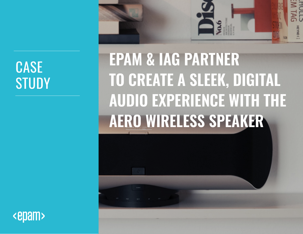# **CASE STUDY**



**EPAM & IAG PARTNER TO CREATE A SLEEK, DIGITAL AUDIO EXPERIENCE WITH THE AERO WIRELESS SPEAKER** 

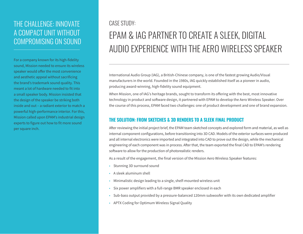### THE CHALLENGE: INNOVATE A COMPACT UNIT WITHOUT COMPROMISING ON SOUND

For a company known for its high-fidelity sound, Mission needed to ensure its wireless speaker would offer the most convenience and aesthetic appeal without sacrificing the brand's trademark sound quality. This meant a lot of hardware needed to fit into a small speaker body. Mission insisted that the design of the speaker be striking both inside and out – a radiant exterior to match a powerful high-performance interior. For this, Mission called upon EPAM's industrial design experts to figure out how to fit more sound per square inch.

#### CASE STUDY:

## EPAM & IAG PARTNER TO CREATE A SLEEK, DIGITAL AUDIO EXPERIENCE WITH THE AERO WIRELESS SPEAKER

International Audio Group (IAG), a British-Chinese company, is one of the fastest growing Audio/Visual manufacturers in the world. Founded in the 1980s, IAG quickly established itself as a pioneer in audio, producing award-winning, high-fidelity sound equipment.

When Mission, one of IAG's heritage brands, sought to transform its offering with the best, most innovative technology in product and software design, it partnered with EPAM to develop the Aero Wireless Speaker. Over the course of this process, EPAM faced two challenges: one of product development and one of brand expansion.

#### **THE SOLUTION: FROM SKETCHES & 3D RENDERS TO A SLEEK FINAL PRODUCT**

After reviewing the initial project brief, the EPAM team sketched concepts and explored form and material, as well as internal component configurations, before transitioning into 3D CAD. Models of the exterior surfaces were produced and all internal electronics were imported and integrated into CAD to prove out the design, while the mechanical engineering of each component was in process. After that, the team exported the final CAD to EPAM's rendering software to allow for the production of photorealistic renders.

As a result of the engagement, the final version of the Mission Aero Wireless Speaker features:

- Stunning 3D surround sound
- A sleek aluminum shell
- Minimalistic design leading to a single, shelf-mounted wireless unit
- Six power amplifiers with a full-range BMR speaker enclosed in each
- Sub-bass output provided by a pressure-balanced 120mm subwoofer with its own dedicated amplifier
- APTX Coding for Optimum Wireless Signal Quality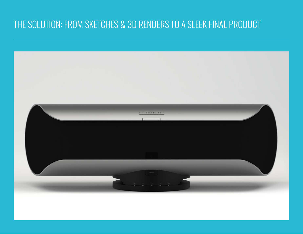### THE SOLUTION: FROM SKETCHES & 3D RENDERS TO A SLEEK FINAL PRODUCT

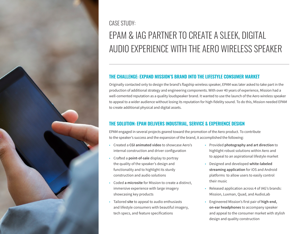

CASE STUDY:

## EPAM & IAG PARTNER TO CREATE A SLEEK, DIGITAL AUDIO EXPERIENCE WITH THE AERO WIRELESS SPEAKER

#### **THE CHALLENGE: EXPAND MISSION'S BRAND INTO THE LIFESTYLE CONSUMER MARKET**

Originally contacted only to design the brand's flagship wireless speaker, EPAM was later asked to take part in the production of additional strategy and engineering components. With over 40 years of experience, Mission had a well-cemented reputation as a quality loudspeaker brand. It wanted to use the launch of the Aero wireless speaker to appeal to a wider audience without losing its reputation for high-fidelity sound. To do this, Mission needed EPAM to create additional physical and digital assets.

#### **THE SOLUTION: EPAM DELIVERS INDUSTRIAL, SERVICE & EXPERIENCE DESIGN**

EPAM engaged in several projects geared toward the promotion of the Aero product. To contribute to the speaker's success and the expansion of the brand, it accomplished the following:

- Created a **CGI animated video** to showcase Aero's internal construction and driver configuration
- Crafted a **point-of-sale** display to portray the quality of the speaker's design and functionality and to highlight its sturdy construction and audio solutions
- Coded **a microsite** for Mission to create a distinct, immersive experience with large imagery showcasing key products
- Tailored **site** to appeal to audio enthusiasts and lifestyle consumers with beautiful imagery, tech specs, and feature specifications
- Provided **photography and art direction** to highlight robust solutions within Aero and to appeal to an aspirational lifestyle market
- Designed and developed **white-labeled streaming application** for iOS and Android platforms to allow users to easily control their music
- Released application across 4 of IAG's brands: Mission, Luxman, Quad, and AudioLab
- Engineered Mission's first pair of **high-end, on-ear headphones** to accompany speaker and appeal to the consumer market with stylish design and quality construction